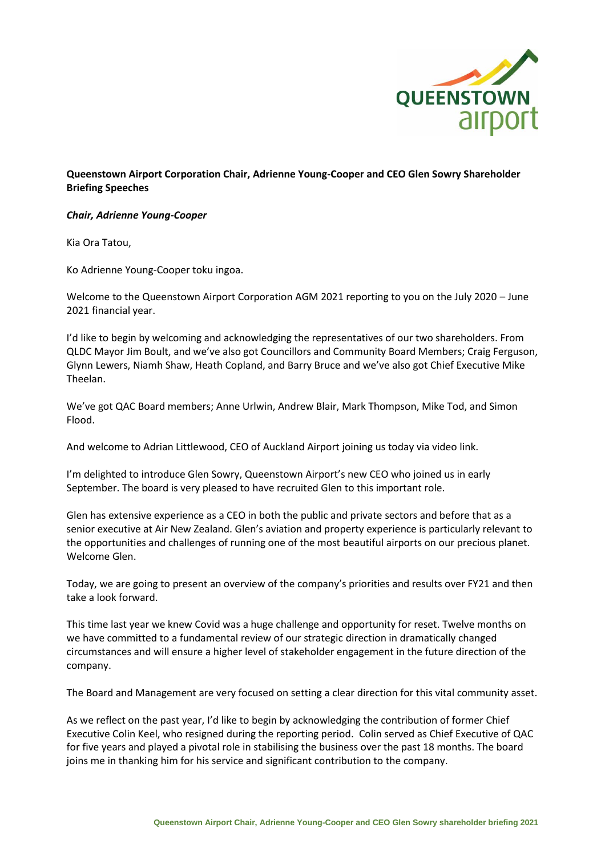

## **Queenstown Airport Corporation Chair, Adrienne Young-Cooper and CEO Glen Sowry Shareholder Briefing Speeches**

## *Chair, Adrienne Young-Cooper*

Kia Ora Tatou,

Ko Adrienne Young-Cooper toku ingoa.

Welcome to the Queenstown Airport Corporation AGM 2021 reporting to you on the July 2020 – June 2021 financial year.

I'd like to begin by welcoming and acknowledging the representatives of our two shareholders. From QLDC Mayor Jim Boult, and we've also got Councillors and Community Board Members; Craig Ferguson, Glynn Lewers, Niamh Shaw, Heath Copland, and Barry Bruce and we've also got Chief Executive Mike Theelan.

We've got QAC Board members; Anne Urlwin, Andrew Blair, Mark Thompson, Mike Tod, and Simon Flood.

And welcome to Adrian Littlewood, CEO of Auckland Airport joining us today via video link.

I'm delighted to introduce Glen Sowry, Queenstown Airport's new CEO who joined us in early September. The board is very pleased to have recruited Glen to this important role.

Glen has extensive experience as a CEO in both the public and private sectors and before that as a senior executive at Air New Zealand. Glen's aviation and property experience is particularly relevant to the opportunities and challenges of running one of the most beautiful airports on our precious planet. Welcome Glen.

Today, we are going to present an overview of the company's priorities and results over FY21 and then take a look forward.

This time last year we knew Covid was a huge challenge and opportunity for reset. Twelve months on we have committed to a fundamental review of our strategic direction in dramatically changed circumstances and will ensure a higher level of stakeholder engagement in the future direction of the company.

The Board and Management are very focused on setting a clear direction for this vital community asset.

As we reflect on the past year, I'd like to begin by acknowledging the contribution of former Chief Executive Colin Keel, who resigned during the reporting period. Colin served as Chief Executive of QAC for five years and played a pivotal role in stabilising the business over the past 18 months. The board joins me in thanking him for his service and significant contribution to the company.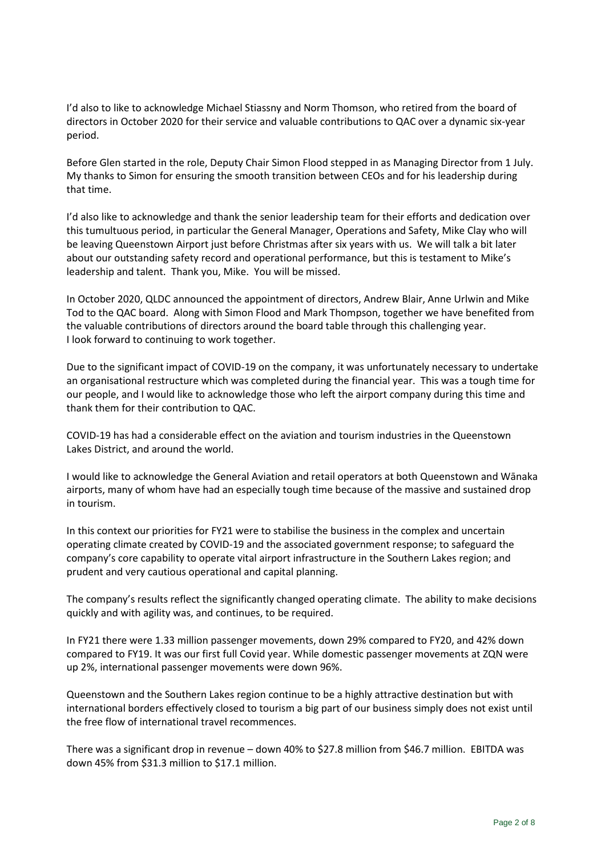I'd also to like to acknowledge Michael Stiassny and Norm Thomson, who retired from the board of directors in October 2020 for their service and valuable contributions to QAC over a dynamic six-year period.

Before Glen started in the role, Deputy Chair Simon Flood stepped in as Managing Director from 1 July. My thanks to Simon for ensuring the smooth transition between CEOs and for his leadership during that time.

I'd also like to acknowledge and thank the senior leadership team for their efforts and dedication over this tumultuous period, in particular the General Manager, Operations and Safety, Mike Clay who will be leaving Queenstown Airport just before Christmas after six years with us. We will talk a bit later about our outstanding safety record and operational performance, but this is testament to Mike's leadership and talent. Thank you, Mike. You will be missed.

In October 2020, QLDC announced the appointment of directors, Andrew Blair, Anne Urlwin and Mike Tod to the QAC board. Along with Simon Flood and Mark Thompson, together we have benefited from the valuable contributions of directors around the board table through this challenging year. I look forward to continuing to work together.

Due to the significant impact of COVID-19 on the company, it was unfortunately necessary to undertake an organisational restructure which was completed during the financial year. This was a tough time for our people, and I would like to acknowledge those who left the airport company during this time and thank them for their contribution to QAC.

COVID-19 has had a considerable effect on the aviation and tourism industries in the Queenstown Lakes District, and around the world.

I would like to acknowledge the General Aviation and retail operators at both Queenstown and Wānaka airports, many of whom have had an especially tough time because of the massive and sustained drop in tourism.

In this context our priorities for FY21 were to stabilise the business in the complex and uncertain operating climate created by COVID-19 and the associated government response; to safeguard the company's core capability to operate vital airport infrastructure in the Southern Lakes region; and prudent and very cautious operational and capital planning.

The company's results reflect the significantly changed operating climate. The ability to make decisions quickly and with agility was, and continues, to be required.

In FY21 there were 1.33 million passenger movements, down 29% compared to FY20, and 42% down compared to FY19. It was our first full Covid year. While domestic passenger movements at ZQN were up 2%, international passenger movements were down 96%.

Queenstown and the Southern Lakes region continue to be a highly attractive destination but with international borders effectively closed to tourism a big part of our business simply does not exist until the free flow of international travel recommences.

There was a significant drop in revenue – down 40% to \$27.8 million from \$46.7 million. EBITDA was down 45% from \$31.3 million to \$17.1 million.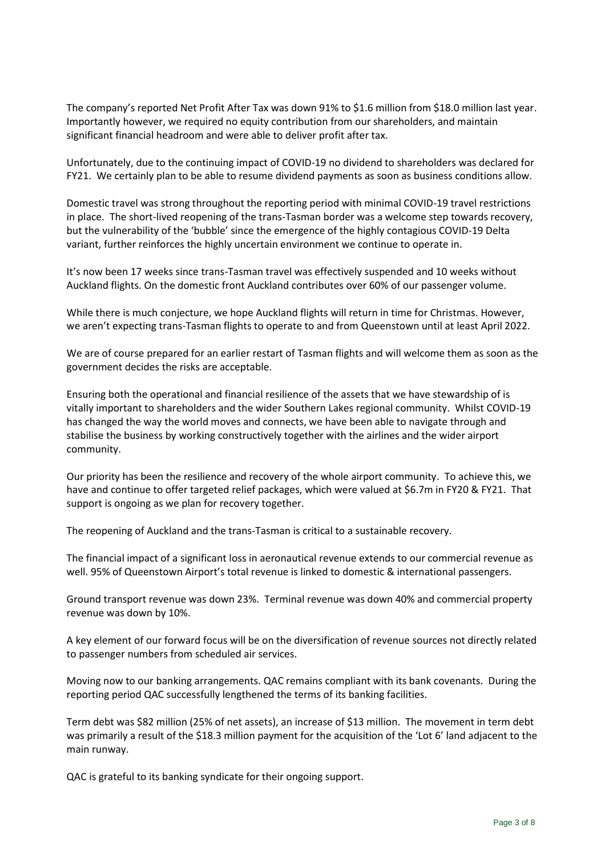The company's reported Net Profit After Tax was down 91% to \$1.6 million from \$18.0 million last year. Importantly however, we required no equity contribution from our shareholders, and maintain significant financial headroom and were able to deliver profit after tax.

Unfortunately, due to the continuing impact of COVID-19 no dividend to shareholders was declared for FY21. We certainly plan to be able to resume dividend payments as soon as business conditions allow.

Domestic travel was strong throughout the reporting period with minimal COVID-19 travel restrictions in place. The short-lived reopening of the trans-Tasman border was a welcome step towards recovery, but the vulnerability of the 'bubble' since the emergence of the highly contagious COVID-19 Delta variant, further reinforces the highly uncertain environment we continue to operate in.

It's now been 17 weeks since trans-Tasman travel was effectively suspended and 10 weeks without Auckland flights. On the domestic front Auckland contributes over 60% of our passenger volume.

While there is much conjecture, we hope Auckland flights will return in time for Christmas. However, we aren't expecting trans-Tasman flights to operate to and from Queenstown until at least April 2022.

We are of course prepared for an earlier restart of Tasman flights and will welcome them as soon as the government decides the risks are acceptable.

Ensuring both the operational and financial resilience of the assets that we have stewardship of is vitally important to shareholders and the wider Southern Lakes regional community. Whilst COVID-19 has changed the way the world moves and connects, we have been able to navigate through and stabilise the business by working constructively together with the airlines and the wider airport community.

Our priority has been the resilience and recovery of the whole airport community. To achieve this, we have and continue to offer targeted relief packages, which were valued at \$6.7m in FY20 & FY21. That support is ongoing as we plan for recovery together.

The reopening of Auckland and the trans-Tasman is critical to a sustainable recovery.

The financial impact of a significant loss in aeronautical revenue extends to our commercial revenue as well. 95% of Queenstown Airport's total revenue is linked to domestic & international passengers.

Ground transport revenue was down 23%. Terminal revenue was down 40% and commercial property revenue was down by 10%.

A key element of our forward focus will be on the diversification of revenue sources not directly related to passenger numbers from scheduled air services.

Moving now to our banking arrangements. QAC remains compliant with its bank covenants. During the reporting period QAC successfully lengthened the terms of its banking facilities.

Term debt was \$82 million (25% of net assets), an increase of \$13 million. The movement in term debt was primarily a result of the \$18.3 million payment for the acquisition of the 'Lot 6' land adjacent to the main runway.

QAC is grateful to its banking syndicate for their ongoing support.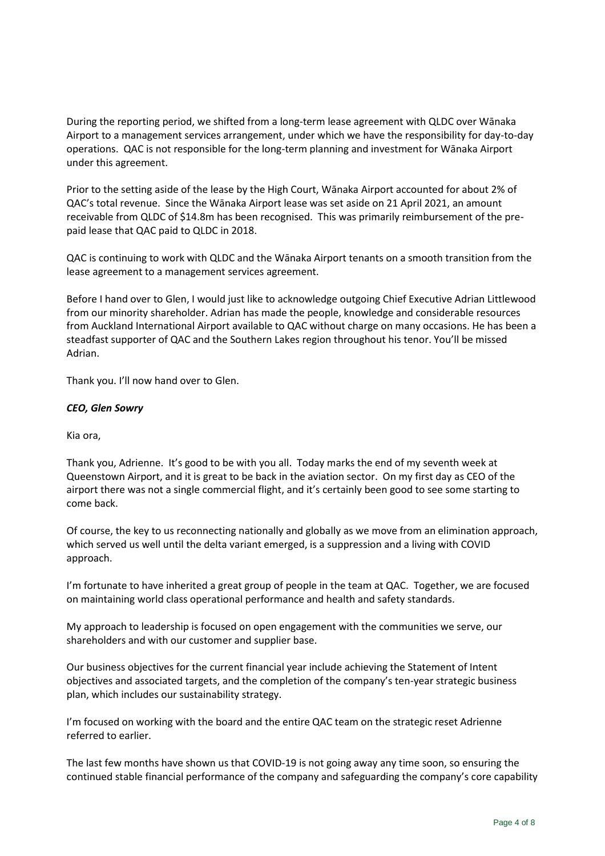During the reporting period, we shifted from a long-term lease agreement with QLDC over Wānaka Airport to a management services arrangement, under which we have the responsibility for day-to-day operations. QAC is not responsible for the long-term planning and investment for Wānaka Airport under this agreement.

Prior to the setting aside of the lease by the High Court, Wānaka Airport accounted for about 2% of QAC's total revenue. Since the Wānaka Airport lease was set aside on 21 April 2021, an amount receivable from QLDC of \$14.8m has been recognised. This was primarily reimbursement of the prepaid lease that QAC paid to QLDC in 2018.

QAC is continuing to work with QLDC and the Wānaka Airport tenants on a smooth transition from the lease agreement to a management services agreement.

Before I hand over to Glen, I would just like to acknowledge outgoing Chief Executive Adrian Littlewood from our minority shareholder. Adrian has made the people, knowledge and considerable resources from Auckland International Airport available to QAC without charge on many occasions. He has been a steadfast supporter of QAC and the Southern Lakes region throughout his tenor. You'll be missed Adrian.

Thank you. I'll now hand over to Glen.

## *CEO, Glen Sowry*

Kia ora,

Thank you, Adrienne. It's good to be with you all. Today marks the end of my seventh week at Queenstown Airport, and it is great to be back in the aviation sector. On my first day as CEO of the airport there was not a single commercial flight, and it's certainly been good to see some starting to come back.

Of course, the key to us reconnecting nationally and globally as we move from an elimination approach, which served us well until the delta variant emerged, is a suppression and a living with COVID approach.

I'm fortunate to have inherited a great group of people in the team at QAC. Together, we are focused on maintaining world class operational performance and health and safety standards.

My approach to leadership is focused on open engagement with the communities we serve, our shareholders and with our customer and supplier base.

Our business objectives for the current financial year include achieving the Statement of Intent objectives and associated targets, and the completion of the company's ten-year strategic business plan, which includes our sustainability strategy.

I'm focused on working with the board and the entire QAC team on the strategic reset Adrienne referred to earlier.

The last few months have shown us that COVID-19 is not going away any time soon, so ensuring the continued stable financial performance of the company and safeguarding the company's core capability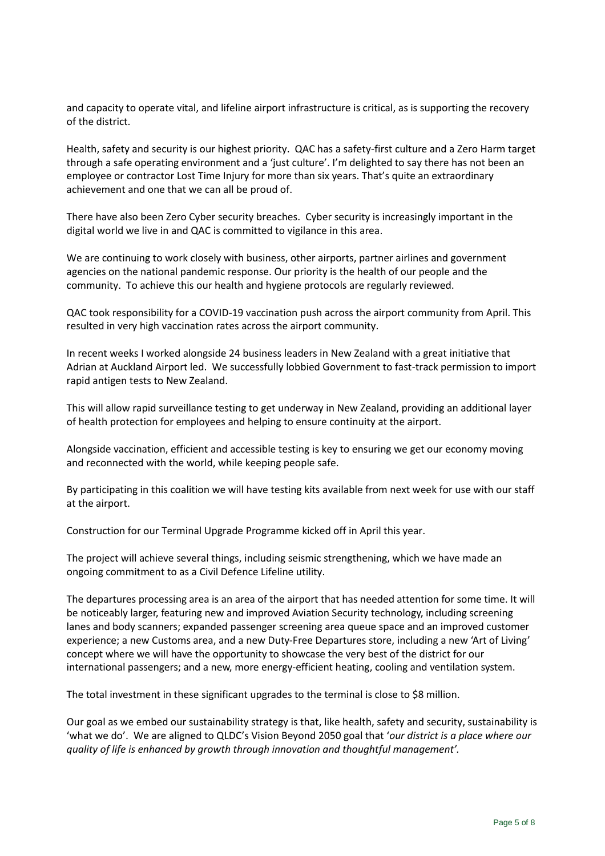and capacity to operate vital, and lifeline airport infrastructure is critical, as is supporting the recovery of the district.

Health, safety and security is our highest priority. QAC has a safety-first culture and a Zero Harm target through a safe operating environment and a 'just culture'. I'm delighted to say there has not been an employee or contractor Lost Time Injury for more than six years. That's quite an extraordinary achievement and one that we can all be proud of.

There have also been Zero Cyber security breaches. Cyber security is increasingly important in the digital world we live in and QAC is committed to vigilance in this area.

We are continuing to work closely with business, other airports, partner airlines and government agencies on the national pandemic response. Our priority is the health of our people and the community. To achieve this our health and hygiene protocols are regularly reviewed.

QAC took responsibility for a COVID-19 vaccination push across the airport community from April. This resulted in very high vaccination rates across the airport community.

In recent weeks I worked alongside 24 business leaders in New Zealand with a great initiative that Adrian at Auckland Airport led. We successfully lobbied Government to fast-track permission to import rapid antigen tests to New Zealand.

This will allow rapid surveillance testing to get underway in New Zealand, providing an additional layer of health protection for employees and helping to ensure continuity at the airport.

Alongside vaccination, efficient and accessible testing is key to ensuring we get our economy moving and reconnected with the world, while keeping people safe.

By participating in this coalition we will have testing kits available from next week for use with our staff at the airport.

Construction for our Terminal Upgrade Programme kicked off in April this year.

The project will achieve several things, including seismic strengthening, which we have made an ongoing commitment to as a Civil Defence Lifeline utility.

The departures processing area is an area of the airport that has needed attention for some time. It will be noticeably larger, featuring new and improved Aviation Security technology, including screening lanes and body scanners; expanded passenger screening area queue space and an improved customer experience; a new Customs area, and a new Duty-Free Departures store, including a new 'Art of Living' concept where we will have the opportunity to showcase the very best of the district for our international passengers; and a new, more energy-efficient heating, cooling and ventilation system.

The total investment in these significant upgrades to the terminal is close to \$8 million.

Our goal as we embed our sustainability strategy is that, like health, safety and security, sustainability is 'what we do'. We are aligned to QLDC's Vision Beyond 2050 goal that '*our district is a place where our quality of life is enhanced by growth through innovation and thoughtful management'.*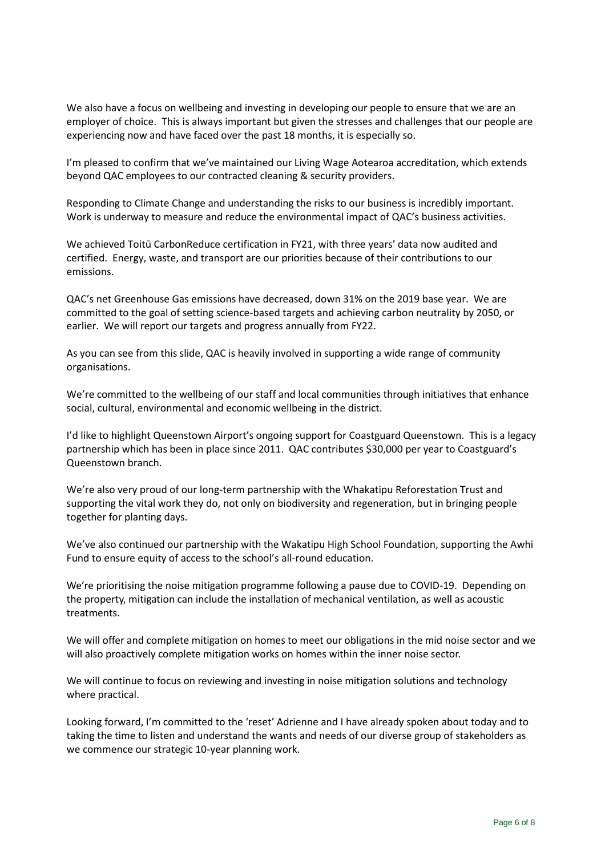We also have a focus on wellbeing and investing in developing our people to ensure that we are an employer of choice. This is always important but given the stresses and challenges that our people are experiencing now and have faced over the past 18 months, it is especially so.

I'm pleased to confirm that we've maintained our Living Wage Aotearoa accreditation, which extends beyond QAC employees to our contracted cleaning & security providers.

Responding to Climate Change and understanding the risks to our business is incredibly important. Work is underway to measure and reduce the environmental impact of QAC's business activities.

We achieved Toitū CarbonReduce certification in FY21, with three years' data now audited and certified. Energy, waste, and transport are our priorities because of their contributions to our emissions.

QAC's net Greenhouse Gas emissions have decreased, down 31% on the 2019 base year. We are committed to the goal of setting science-based targets and achieving carbon neutrality by 2050, or earlier. We will report our targets and progress annually from FY22.

As you can see from this slide, QAC is heavily involved in supporting a wide range of community organisations.

We're committed to the wellbeing of our staff and local communities through initiatives that enhance social, cultural, environmental and economic wellbeing in the district.

I'd like to highlight Queenstown Airport's ongoing support for Coastguard Queenstown. This is a legacy partnership which has been in place since 2011. QAC contributes \$30,000 per year to Coastguard's Queenstown branch.

We're also very proud of our long-term partnership with the Whakatipu Reforestation Trust and supporting the vital work they do, not only on biodiversity and regeneration, but in bringing people together for planting days.

We've also continued our partnership with the Wakatipu High School Foundation, supporting the Awhi Fund to ensure equity of access to the school's all-round education.

We're prioritising the noise mitigation programme following a pause due to COVID-19. Depending on the property, mitigation can include the installation of mechanical ventilation, as well as acoustic treatments.

We will offer and complete mitigation on homes to meet our obligations in the mid noise sector and we will also proactively complete mitigation works on homes within the inner noise sector.

We will continue to focus on reviewing and investing in noise mitigation solutions and technology where practical.

Looking forward, I'm committed to the 'reset' Adrienne and I have already spoken about today and to taking the time to listen and understand the wants and needs of our diverse group of stakeholders as we commence our strategic 10-year planning work.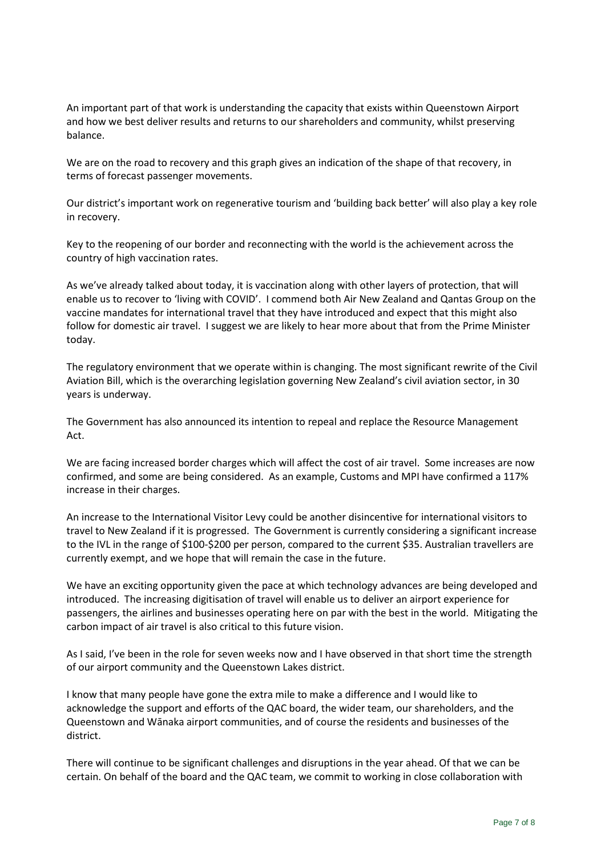An important part of that work is understanding the capacity that exists within Queenstown Airport and how we best deliver results and returns to our shareholders and community, whilst preserving balance.

We are on the road to recovery and this graph gives an indication of the shape of that recovery, in terms of forecast passenger movements.

Our district's important work on regenerative tourism and 'building back better' will also play a key role in recovery.

Key to the reopening of our border and reconnecting with the world is the achievement across the country of high vaccination rates.

As we've already talked about today, it is vaccination along with other layers of protection, that will enable us to recover to 'living with COVID'. I commend both Air New Zealand and Qantas Group on the vaccine mandates for international travel that they have introduced and expect that this might also follow for domestic air travel. I suggest we are likely to hear more about that from the Prime Minister today.

The regulatory environment that we operate within is changing. The most significant rewrite of the Civil Aviation Bill, which is the overarching legislation governing New Zealand's civil aviation sector, in 30 years is underway.

The Government has also announced its intention to repeal and replace the Resource Management Act.

We are facing increased border charges which will affect the cost of air travel. Some increases are now confirmed, and some are being considered. As an example, Customs and MPI have confirmed a 117% increase in their charges.

An increase to the International Visitor Levy could be another disincentive for international visitors to travel to New Zealand if it is progressed. The Government is currently considering a significant increase to the IVL in the range of \$100-\$200 per person, compared to the current \$35. Australian travellers are currently exempt, and we hope that will remain the case in the future.

We have an exciting opportunity given the pace at which technology advances are being developed and introduced. The increasing digitisation of travel will enable us to deliver an airport experience for passengers, the airlines and businesses operating here on par with the best in the world. Mitigating the carbon impact of air travel is also critical to this future vision.

As I said, I've been in the role for seven weeks now and I have observed in that short time the strength of our airport community and the Queenstown Lakes district.

I know that many people have gone the extra mile to make a difference and I would like to acknowledge the support and efforts of the QAC board, the wider team, our shareholders, and the Queenstown and Wānaka airport communities, and of course the residents and businesses of the district.

There will continue to be significant challenges and disruptions in the year ahead. Of that we can be certain. On behalf of the board and the QAC team, we commit to working in close collaboration with